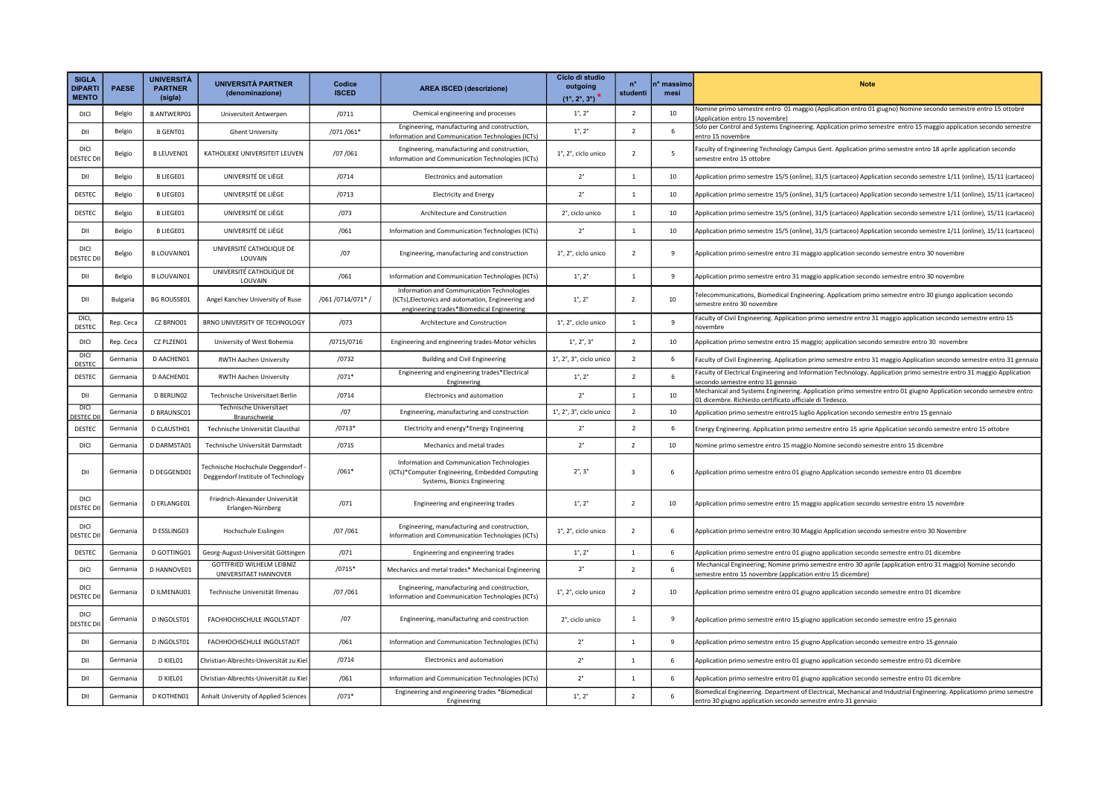| <b>SIGLA</b><br><b>DIPARTI</b><br><b>MENTO</b> | <b>PAESE</b>    | <b>UNIVERSITÀ</b><br><b>PARTNER</b><br>(sigla) | <b>UNIVERSITÀ PARTNER</b><br>(denominazione)                           | Codice<br><b>ISCED</b> | <b>AREA ISCED (descrizione)</b>                                                                                                               | Ciclo di studio<br>outgoing<br>$(1^{\circ}, 2^{\circ}, 3^{\circ})$ | $n^{\circ}$<br>studenti | n° massimo<br>mesi | <b>Note</b>                                                                                                                                                                           |
|------------------------------------------------|-----------------|------------------------------------------------|------------------------------------------------------------------------|------------------------|-----------------------------------------------------------------------------------------------------------------------------------------------|--------------------------------------------------------------------|-------------------------|--------------------|---------------------------------------------------------------------------------------------------------------------------------------------------------------------------------------|
| DICI                                           | Belgio          | <b>B ANTWERP01</b>                             | Universiteit Antwerpen                                                 | /0711                  | Chemical engineering and processes                                                                                                            | $1^{\circ}$ , $2^{\circ}$                                          | $\overline{2}$          | 10                 | Vomine primo semestre entro 01 maggio (Application entro 01 giugno) Nomine secondo semestre entro 15 ottobre<br>(Application entro 15 novembre)                                       |
| DII                                            | Belgio          | <b>B GENT01</b>                                | <b>Ghent University</b>                                                | /071/061*              | Engineering, manufacturing and construction,<br>Information and Communication Technologies (ICTs)                                             | $1^{\circ}$ , $2^{\circ}$                                          | $\overline{2}$          | 6                  | Solo per Control and Systems Engineering. Application primo semestre entro 15 maggio application secondo semestre<br>entro 15 novembre                                                |
| DICI<br>ESTEC DI                               | Belgio          | <b>B LEUVENO1</b>                              | KATHOLIEKE UNIVERSITEIT LEUVEN                                         | /07/061                | Engineering, manufacturing and construction,<br>Information and Communication Technologies (ICTs)                                             | 1°, 2°, ciclo unico                                                | $\overline{2}$          | 5                  | aculty of Engineering Technology Campus Gent. Application primo semestre entro 18 aprile application secondo<br>semestre entro 15 ottobre                                             |
| DII                                            | Belgio          | <b>B LIEGE01</b>                               | UNIVERSITÉ DE LIÈGE                                                    | /0714                  | Electronics and automation                                                                                                                    | $2^{\circ}$                                                        | $\overline{1}$          | 10                 | Application primo semestre 15/5 (online), 31/5 (cartaceo) Application secondo semestre 1/11 (online), 15/11 (cartaceo)                                                                |
| <b>DESTEC</b>                                  | Belgio          | <b>B LIEGE01</b>                               | UNIVERSITÉ DE LIÈGE                                                    | /0713                  | <b>Electricity and Energy</b>                                                                                                                 | $2^{\circ}$                                                        | $\mathbf{1}$            | 10                 | Application primo semestre 15/5 (online), 31/5 (cartaceo) Application secondo semestre 1/11 (online), 15/11 (cartaceo)                                                                |
| DESTEC                                         | Belgio          | <b>BLIEGE01</b>                                | UNIVERSITÉ DE LIÈGE                                                    | /073                   | Architecture and Construction                                                                                                                 | 2°, ciclo unico                                                    | $\mathbf{1}$            | 10                 | Application primo semestre 15/5 (online), 31/5 (cartaceo) Application secondo semestre 1/11 (online), 15/11 (cartaceo)                                                                |
| DII                                            | Belgio          | <b>B LIEGE01</b>                               | UNIVERSITÉ DE LIÈGE                                                    | /061                   | Information and Communication Technologies (ICTs)                                                                                             | $2^{\circ}$                                                        | $\overline{1}$          | 10                 | Application primo semestre 15/5 (online), 31/5 (cartaceo) Application secondo semestre 1/11 (online), 15/11 (cartaceo)                                                                |
| DICI<br>ESTEC <sub>D</sub>                     | Belgio          | <b>BLOUVAIN01</b>                              | UNIVERSITÉ CATHOLIQUE DE<br>LOUVAIN                                    | /07                    | Engineering, manufacturing and construction                                                                                                   | 1°, 2°, ciclo unico                                                | $\overline{2}$          | 9                  | Application primo semestre entro 31 maggio application secondo semestre entro 30 novembre                                                                                             |
| DII                                            | Belgio          | <b>B LOUVAIN01</b>                             | UNIVERSITÉ CATHOLIQUE DE<br>LOUVAIN                                    | /061                   | Information and Communication Technologies (ICTs)                                                                                             | $1^{\circ}$ , $2^{\circ}$                                          | $\mathbf{1}$            | 9                  | Application primo semestre entro 31 maggio application secondo semestre entro 30 novembre                                                                                             |
| DII                                            | <b>Bulgaria</b> | <b>BG ROUSSE01</b>                             | Angel Kanchev University of Ruse                                       | /061 /0714/071* /      | Information and Communication Technologies<br>(ICTs), Electonics and automation, Engineering and<br>engineering trades*Biomedical Engineering | $1^{\circ}$ , $2^{\circ}$                                          | $\overline{2}$          | 10                 | Felecommunications, Biomedical Engineering. Applicatiom primo semestre entro 30 giungo application secondo<br>semestre entro 30 novembre                                              |
| DICI.<br>DESTEC                                | Rep. Ceca       | CZ BRNO01                                      | BRNO UNIVERSITY OF TECHNOLOGY                                          | /073                   | Architecture and Construction                                                                                                                 | 1°, 2°, ciclo unico                                                | $\overline{1}$          | 9                  | Faculty of Civil Engineering. Application primo semestre entro 31 maggio application secondo semestre entro 15<br>novembre                                                            |
| DICI                                           | Rep. Ceca       | CZ PLZEN01                                     | University of West Bohemia                                             | /0715/0716             | Engineering and engineering trades-Motor vehicles                                                                                             | $1^{\circ}$ , $2^{\circ}$ , $3^{\circ}$                            | $\overline{z}$          | 10                 | Application primo semestre entro 15 maggio; application secondo semestre entro 30 novembre                                                                                            |
| DIC<br><b>DESTEC</b>                           | Germania        | D AACHEN01                                     | <b>RWTH Aachen University</b>                                          | /0732                  | <b>Building and Civil Engineering</b>                                                                                                         | 1°, 2°, 3°, ciclo unico                                            | $\overline{2}$          | 6                  | Faculty of Civil Engineering. Application primo semestre entro 31 maggio Application secondo semestre entro 31 gennaio                                                                |
| DESTEC                                         | Germania        | D AACHEN01                                     | <b>RWTH Aachen University</b>                                          | $/071*$                | Engineering and engineering trades*Electrical<br>Engineering                                                                                  | $1^{\circ}$ , $2^{\circ}$                                          | $\overline{2}$          | 6                  | Faculty of Electrical Engineering and Information Technology. Application primo semestre entro 31 maggio Application<br>secondo semestre entro 31 gennaio                             |
| DII                                            | Germania        | D BERLINO2                                     | Technische Universitaet Berlin                                         | /0714                  | Electronics and automation                                                                                                                    | $2^{\circ}$                                                        | $\overline{1}$          | 10                 | Mechanical and Systems Engineering. Application primo semestre entro 01 giugno Application secondo semestre entro<br>01 dicembre. Richiesto certificato ufficiale di Tedesco.         |
| DICI<br><b>ESTEC</b>                           | Germania        | D BRAUNSC01                                    | Technische Universitaet<br>Braunschweig                                | /07                    | Engineering, manufacturing and construction                                                                                                   | $1^\circ$ , $2^\circ$ , $3^\circ$ , ciclo unico                    | $\overline{2}$          | 10                 | Application primo semestre entro15 luglio Application secondo semestre entro 15 gennaio                                                                                               |
| <b>DESTEC</b>                                  | Germania        | D CLAUSTH01                                    | Technische Universität Clausthal                                       | $/0713*$               | Electricity and energy*Energy Engineering                                                                                                     | $2^{\circ}$                                                        | $\overline{2}$          | 6                  | Energy Engineering. Application primo semestre entro 15 aprie Application secondo semestre entro 15 ottobre                                                                           |
| DICI                                           | Germania        | D DARMSTA01                                    | Technische Universität Darmstadt                                       | /0715                  | Mechanics and metal trades                                                                                                                    | $2^{\circ}$                                                        | $\overline{2}$          | 10                 | Nomine primo semestre entro 15 maggio Nomine secondo semestre entro 15 dicembre                                                                                                       |
| DII                                            | Germania        | D DEGGEND01                                    | Technische Hochschule Deggendorf<br>Deggendorf Institute of Technology | $/061*$                | Information and Communication Technologies<br>(ICTs)*Computer Engineering, Embedded Computing<br>Systems, Bionics Engineering                 | $2^\circ$ , $3^\circ$                                              | $\overline{\mathbf{3}}$ | 6                  | Application primo semestre entro 01 giugno Application secondo semestre entro 01 dicembre                                                                                             |
| DICI<br><b>DESTEC D</b>                        | Germania        | D ERLANGE01                                    | Friedrich-Alexander Universität<br>Erlangen-Nürnberg                   | /071                   | Engineering and engineering trades                                                                                                            | $1^\circ$ , $2^\circ$                                              | $\overline{2}$          | 10                 | Application primo semestre entro 15 maggio application secondo semestre entro 15 novembre                                                                                             |
| DICI<br><b>DESTEC D</b>                        | Germania        | D ESSLING03                                    | Hochschule Esslingen                                                   | /07/061                | Engineering, manufacturing and construction,<br>Information and Communication Technologies (ICTs)                                             | 1°, 2°, ciclo unico                                                | $\overline{2}$          | 6                  | Application primo semestre entro 30 Maggio Application secondo semestre entro 30 Novembre                                                                                             |
| DESTEC                                         | Germani         | D GOTTING01                                    | Georg-August-Universität Göttingen                                     | /071                   | Engineering and engineering trades                                                                                                            | $1^{\circ}$ , $2^{\circ}$                                          | $\overline{1}$          | 6                  | Application primo semestre entro 01 giugno application secondo semestre entro 01 dicembre                                                                                             |
| <b>DICI</b>                                    | Germania        | D HANNOVE01                                    | GOTTFRIED WILHELM LEIBNIZ<br>UNIVERSITAET HANNOVER                     | $/0715*$               | Mechanics and metal trades* Mechanical Engineering                                                                                            | $2^{\circ}$                                                        | $\overline{2}$          | 6                  | Mechanical Engineering; Nomine primo semestre entro 30 aprile (application entro 31 maggio) Nomine secondo<br>semestre entro 15 novembre (application entro 15 dicembre)              |
| <b>DICI</b><br><b>DESTEC D</b>                 | Germania        | D ILMENAU01                                    | Technische Universität Ilmenau                                         | /07/061                | Engineering, manufacturing and construction,<br>Information and Communication Technologies (ICTs)                                             | 1°, 2°, ciclo unico                                                | $\overline{2}$          | 10                 | Application primo semestre entro 01 giugno application secondo semestre entro 01 dicembre                                                                                             |
| DICI<br><b>DESTEC DI</b>                       | Germania        | D INGOLST01                                    | FACHHOCHSCHULE INGOLSTADT                                              | /07                    | Engineering, manufacturing and construction                                                                                                   | 2°, ciclo unico                                                    | $\mathbf{1}$            | 9                  | Application primo semestre entro 15 giugno application secondo semestre entro 15 gennaio                                                                                              |
| DII                                            | Germania        | D INGOLST01                                    | FACHHOCHSCHULE INGOLSTADT                                              | /061                   | Information and Communication Technologies (ICTs)                                                                                             | $2^{\circ}$                                                        | $\mathbf{1}$            | 9                  | Application primo semestre entro 15 giugno Application secondo semestre entro 15 gennaio                                                                                              |
| DII                                            | Germania        | D KIEL01                                       | Christian-Albrechts-Universität zu Kiel                                | /0714                  | Electronics and automation                                                                                                                    | $2^{\circ}$                                                        | $\mathbf{1}$            | 6                  | Application primo semestre entro 01 giugno application secondo semestre entro 01 dicembre                                                                                             |
| DII                                            | Germania        | D KIEL01                                       | Christian-Albrechts-Universität zu Kiel                                | /061                   | Information and Communication Technologies (ICTs)                                                                                             | $2^{\circ}$                                                        | <sup>1</sup>            | 6                  | Application primo semestre entro 01 giugno application secondo semestre entro 01 dicembre                                                                                             |
| DII                                            | Germania        | D KOTHEN01                                     | Anhalt University of Applied Sciences                                  | $/071*$                | Engineering and engineering trades *Biomedical<br>Engineering                                                                                 | $1^\circ$ , $2^\circ$                                              | $\overline{2}$          | 6                  | Biomedical Engineering. Department of Electrical, Mechanical and Industrial Engineering. Applicatiomn primo semestre<br>entro 30 giugno application secondo semestre entro 31 gennaio |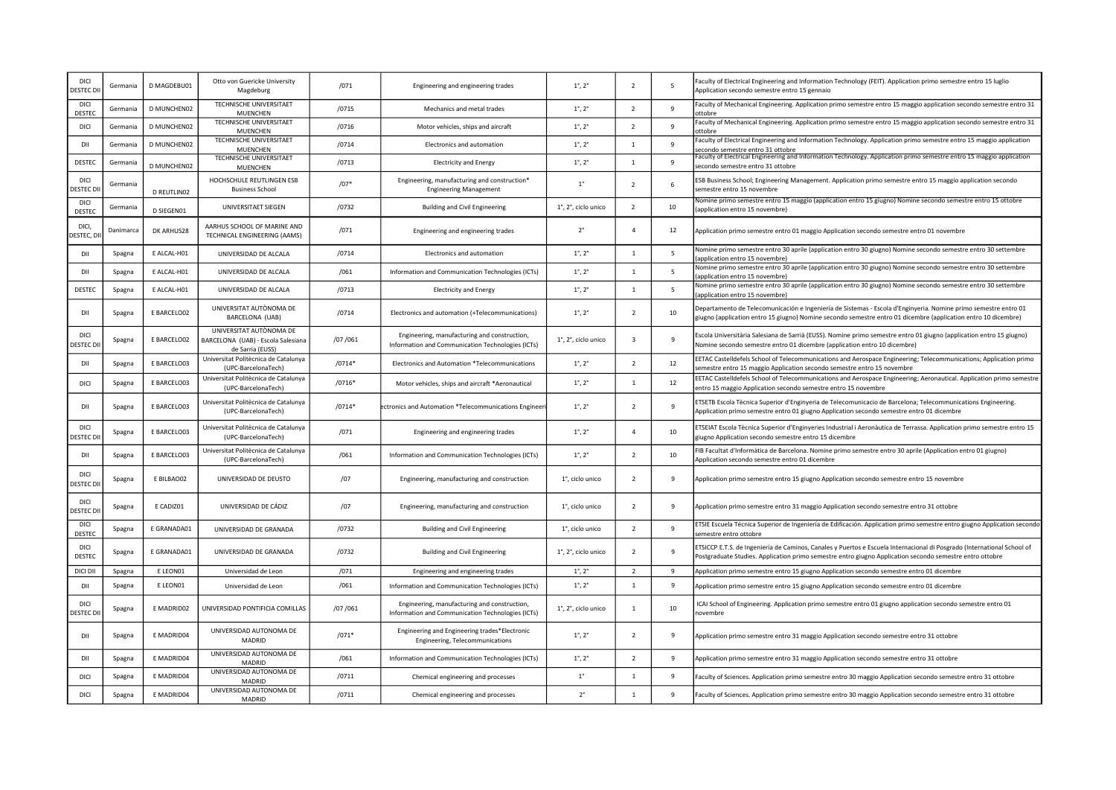| <b>DICI</b><br><b>DESTEC DI</b> | Germania  | D MAGDEBU01        | Otto von Guericke University<br>Magdeburg                                         | /071     | Engineering and engineering trades                                                                | $1^{\circ}$ , $2^{\circ}$ | $\overline{2}$           | 5            | Faculty of Electrical Engineering and Information Technology (FEIT). Application primo semestre entro 15 luglio<br>Application secondo semestre entro 15 gennaio                                                                    |
|---------------------------------|-----------|--------------------|-----------------------------------------------------------------------------------|----------|---------------------------------------------------------------------------------------------------|---------------------------|--------------------------|--------------|-------------------------------------------------------------------------------------------------------------------------------------------------------------------------------------------------------------------------------------|
| DICI<br>DESTEC                  | Germania  | D MUNCHEN02        | TECHNISCHE UNIVERSITAET<br><b>MUENCHEN</b>                                        | /0715    | Mechanics and metal trades                                                                        | $1^{\circ}$ , $2^{\circ}$ | $\overline{z}$           | 9            | Faculty of Mechanical Engineering. Application primo semestre entro 15 maggio application secondo semestre entro 31<br>ottobre                                                                                                      |
| DICI                            | Germania  | D MUNCHEN02        | TECHNISCHE UNIVERSITAET<br><b>MUENCHEN</b>                                        | /0716    | Motor vehicles, ships and aircraft                                                                | $1^{\circ}$ , $2^{\circ}$ | $\overline{2}$           | 9            | Faculty of Mechanical Engineering. Application primo semestre entro 15 maggio application secondo semestre entro 31<br>ottobre                                                                                                      |
| DII                             | Germania  | <b>D MUNCHEN02</b> | TECHNISCHE UNIVERSITAET<br>MUENCHEN                                               | /0714    | Electronics and automation                                                                        | $1^{\circ}$ , $2^{\circ}$ | $\mathbf{1}$             | 9            | Faculty of Electrical Engineering and Information Technology. Application primo semestre entro 15 maggio application<br>secondo semestre entro 31 ottobre                                                                           |
| DESTEC                          | Germania  | D MUNCHEN02        | TECHNISCHE UNIVERSITAET<br>MUENCHEN                                               | /0713    | <b>Electricity and Energy</b>                                                                     | $1^{\circ}$ , $2^{\circ}$ | $\mathbf{1}$             | 9            | Faculty of Electrical Engineering and Information Technology. Application primo semestre entro 15 maggio application<br>secondo semestre entro 31 ottobre                                                                           |
| DICI<br><b>DESTEC D</b>         | Germania  | D REUTLINO2        | HOCHSCHULE REUTLINGEN ESB<br><b>Business School</b>                               | $/07*$   | Engineering, manufacturing and construction*<br><b>Engineering Management</b>                     | $1^{\circ}$               | $\overline{\phantom{a}}$ | 6            | ESB Business School; Engineering Management. Application primo semestre entro 15 maggio application secondo<br>semestre entro 15 novembre                                                                                           |
| DICI<br><b>DESTEC</b>           | Germania  | D SIEGEN01         | UNIVERSITAET SIEGEN                                                               | /0732    | <b>Building and Civil Engineering</b>                                                             | 1°, 2°, ciclo unico       | $\overline{z}$           | 10           | Nomine primo semestre entro 15 maggio (application entro 15 giugno) Nomine secondo semestre entro 15 ottobre<br>application entro 15 novembre)                                                                                      |
| <b>DICI</b><br>ESTEC, DI        | Danimarca | DK ARHUS28         | AARHUS SCHOOL OF MARINE AND<br>TECHNICAL ENGINEERING (AAMS)                       | /071     | Engineering and engineering trades                                                                | $2^{\circ}$               | $\overline{a}$           | 12           | Application primo semestre entro 01 maggio Application secondo semestre entro 01 novembre                                                                                                                                           |
| DII                             | Spagna    | E ALCAL-H01        | UNIVERSIDAD DE ALCALA                                                             | /0714    | Electronics and automation                                                                        | $1^{\circ}$ , $2^{\circ}$ | $\mathbf{1}$             | 5            | Nomine primo semestre entro 30 aprile (application entro 30 giugno) Nomine secondo semestre entro 30 settembre<br>application entro 15 novembre)                                                                                    |
| DII                             | Spagna    | E ALCAL-H01        | UNIVERSIDAD DE ALCALA                                                             | /061     | Information and Communication Technologies (ICTs)                                                 | $1^{\circ}$ , $2^{\circ}$ | $\mathbf{1}$             | 5            | Nomine primo semestre entro 30 aprile (application entro 30 giugno) Nomine secondo semestre entro 30 settembre<br>application entro 15 novembre)                                                                                    |
| DESTEC                          | Spagna    | E ALCAL-H01        | UNIVERSIDAD DE ALCALA                                                             | /0713    | <b>Electricity and Energy</b>                                                                     | $1^{\circ}$ , $2^{\circ}$ | $\overline{1}$           | 5            | Nomine primo semestre entro 30 aprile (application entro 30 giugno) Nomine secondo semestre entro 30 settembre<br>application entro 15 novembre)                                                                                    |
| DII                             | Spagna    | E BARCELO02        | UNIVERSITAT AUTÒNOMA DE<br>BARCELONA (UAB)                                        | /0714    | Electronics and automation (+Telecommunications)                                                  | $1^{\circ}$ , $2^{\circ}$ | $\overline{2}$           | 10           | Departamento de Telecomunicación e Ingeniería de Sistemas - Escola d'Enginyeria. Nomine primo semestre entro 01<br>giugno (application entro 15 giugno) Nomine secondo semestre entro 01 dicembre (application entro 10 dicembre)   |
| DICI<br>ESTEC DI                | Spagna    | E BARCELO02        | UNIVERSITAT AUTÒNOMA DE<br>BARCELONA (UAB) - Escola Salesiana<br>de Sarria (EUSS) | /07/061  | Engineering, manufacturing and construction,<br>Information and Communication Technologies (ICTs) | 1°, 2°, ciclo unico       | $\overline{3}$           | 9            | Escola Universitària Salesiana de Sarrià (EUSS). Nomine primo semestre entro 01 giugno (application entro 15 giugno)<br>Nomine secondo semestre entro 01 dicembre (application entro 10 dicembre)                                   |
| DII                             | Spagna    | E BARCELO03        | Universitat Politècnica de Catalunya<br>(UPC-BarcelonaTech)                       | $/0714*$ | Electronics and Automation *Telecommunications                                                    | $1^{\circ}$ , $2^{\circ}$ | $\overline{2}$           | 12           | EETAC Castelldefels School of Telecommunications and Aerospace Engineering; Telecommunications; Application primo<br>semestre entro 15 maggio Application secondo semestre entro 15 novembre                                        |
| <b>DICI</b>                     | Spagna    | E BARCELO03        | Universitat Politècnica de Catalunya<br>(UPC-BarcelonaTech)                       | $/0716*$ | Motor vehicles, ships and aircraft *Aeronautical                                                  | $1^{\circ}$ , $2^{\circ}$ | $\mathbf{1}$             | 12           | EETAC Castelldefels School of Telecommunications and Aerospace Engineering; Aeronautical. Application primo semestre<br>entro 15 maggio Application secondo semestre entro 15 novembre                                              |
| DII                             | Spagna    | E BARCELO03        | Universitat Politècnica de Catalunya<br>(UPC-BarcelonaTech)                       | $/0714*$ | ectronics and Automation *Telecommunications Engineeri                                            | $1^{\circ}$ , $2^{\circ}$ | $\overline{2}$           | 9            | ETSETB Escola Tècnica Superior d'Enginyeria de Telecomunicacio de Barcelona; Telecommunications Engineering.<br>Application primo semestre entro 01 giugno Application secondo semestre entro 01 dicembre                           |
| <b>DICI</b><br><b>DESTEC DI</b> | Spagna    | E BARCELO03        | Universitat Politècnica de Catalunya<br>(UPC-BarcelonaTech)                       | /071     | Engineering and engineering trades                                                                | $1^{\circ}$ , $2^{\circ}$ | $\Delta$                 | 10           | ETSEIAT Escola Tècnica Superior d'Enginyeries Industrial i Aeronàutica de Terrassa. Application primo semestre entro 15<br>giugno Application secondo semestre entro 15 dicembre                                                    |
| DII                             | Spagna    | E BARCELO03        | Universitat Politècnica de Catalunya<br>(UPC-BarcelonaTech)                       | /061     | Information and Communication Technologies (ICTs)                                                 | $1^{\circ}$ , $2^{\circ}$ | $\overline{2}$           | 10           | FIB Facultat d'Informàtica de Barcelona. Nomine primo semestre entro 30 aprile (Application entro 01 giugno)<br>Application secondo semestre entro 01 dicembre                                                                      |
| DICI<br>destec di               | Spagna    | E BILBAO02         | UNIVERSIDAD DE DEUSTO                                                             | /07      | Engineering, manufacturing and construction                                                       | 1°, ciclo unico           | $\overline{2}$           | 9            | Application primo semestre entro 15 giugno Application secondo semestre entro 15 novembre                                                                                                                                           |
| DICI<br><b>DESTEC D</b>         | Spagna    | E CADIZ01          | UNIVERSIDAD DE CÁDIZ                                                              | /07      | Engineering, manufacturing and construction                                                       | 1°, ciclo unico           | $\overline{2}$           | $\mathbf{q}$ | Application primo semestre entro 31 maggio Application secondo semestre entro 31 ottobre                                                                                                                                            |
| DICI<br>DESTEC                  | Spagna    | E GRANADA01        | UNIVERSIDAD DE GRANADA                                                            | /0732    | <b>Building and Civil Engineering</b>                                                             | 1°, ciclo unico           | $\overline{2}$           | 9            | ETSIE Escuela Técnica Superior de Ingeniería de Edificación. Application primo semestre entro giugno Application secondo<br>emestre entro ottobre                                                                                   |
| <b>DICI</b><br>DESTEC           | Spagna    | E GRANADA01        | UNIVERSIDAD DE GRANADA                                                            | /0732    | <b>Building and Civil Engineering</b>                                                             | 1°, 2°, ciclo unico       | $\overline{2}$           | 9            | ETSICCP E.T.S. de Ingeniería de Caminos, Canales y Puertos e Escuela Internacional di Posgrado (International School of<br>Postgraduate Studies. Application primo semestre entro giugno Application secondo semestre entro ottobre |
| DICI DII                        | Spagna    | E LEON01           | Universidad de Leon                                                               | /071     | Engineering and engineering trades                                                                | $1^{\circ}$ , $2^{\circ}$ | $\overline{2}$           | 9            | Application primo semestre entro 15 giugno Application secondo semestre entro 01 dicembre                                                                                                                                           |
| DII                             | Spagna    | E LEON01           | Universidad de Leon                                                               | /061     | Information and Communication Technologies (ICTs)                                                 | $1^{\circ}$ , $2^{\circ}$ | $\mathbf{1}$             | 9            | Application primo semestre entro 15 giugno Application secondo semestre entro 01 dicembre                                                                                                                                           |
| DICI<br><b>DESTEC DI</b>        | Spagna    | E MADRID02         | UNIVERSIDAD PONTIFICIA COMILLAS                                                   | /07/061  | Engineering, manufacturing and construction,<br>Information and Communication Technologies (ICTs) | 1°, 2°, ciclo unico       | $\overline{1}$           | 10           | ICAI School of Engineering. Application primo semestre entro 01 giugno application secondo semestre entro 01<br>novembre                                                                                                            |
| DII                             | Spagna    | E MADRID04         | UNIVERSIDAD AUTONOMA DE<br>MADRID                                                 | $/071*$  | Engineering and Engineering trades*Electronic<br>Engineering, Telecommunications                  | $1^{\circ}$ , $2^{\circ}$ | $\overline{2}$           | 9            | Application primo semestre entro 31 maggio Application secondo semestre entro 31 ottobre                                                                                                                                            |
| DII                             | Spagna    | E MADRID04         | UNIVERSIDAD AUTONOMA DE<br><b>MADRID</b>                                          | /061     | Information and Communication Technologies (ICTs)                                                 | $1^{\circ}$ , $2^{\circ}$ | $\overline{2}$           | 9            | Application primo semestre entro 31 maggio Application secondo semestre entro 31 ottobre                                                                                                                                            |
| DICI                            | Spagna    | E MADRID04         | UNIVERSIDAD AUTONOMA DE<br>MADRID                                                 | /0711    | Chemical engineering and processes                                                                | $1^{\circ}$               | $\mathbf{1}$             | 9            | Faculty of Sciences. Application primo semestre entro 30 maggio Application secondo semestre entro 31 ottobre                                                                                                                       |
| DICI                            | Spagna    | E MADRID04         | UNIVERSIDAD AUTONOMA DE<br><b>MADRID</b>                                          | /0711    | Chemical engineering and processes                                                                | $2^{\circ}$               | $\mathbf{1}$             | 9            | Faculty of Sciences. Application primo semestre entro 30 maggio Application secondo semestre entro 31 ottobre                                                                                                                       |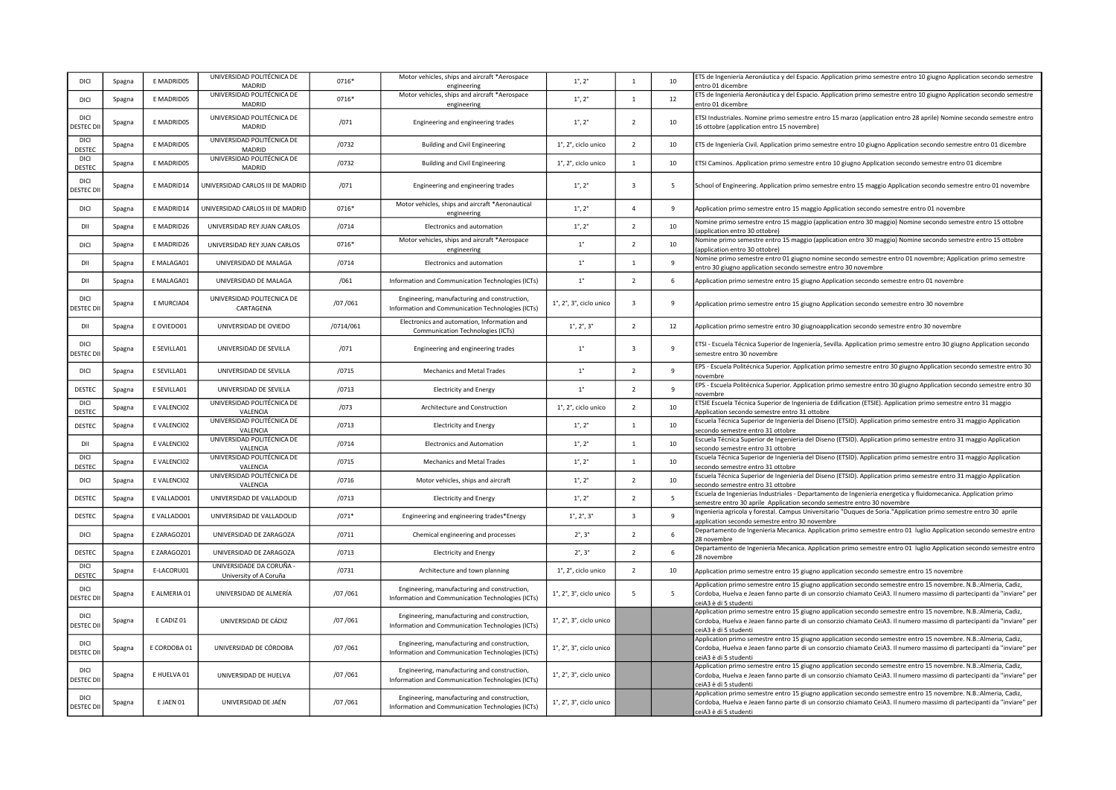| DICI                      | Spagna | E MADRID05   | UNIVERSIDAD POLITÉCNICA DE<br><b>MADRID</b>        | 0716*     | Motor vehicles, ships and aircraft *Aerospace<br>engineering                                      | $1^{\circ}$ , $2^{\circ}$                       | $\mathbf{1}$             | 10           | ETS de Ingeniería Aeronáutica y del Espacio. Application primo semestre entro 10 giugno Application secondo semestre<br>entro 01 dicembre                                                                                                                          |
|---------------------------|--------|--------------|----------------------------------------------------|-----------|---------------------------------------------------------------------------------------------------|-------------------------------------------------|--------------------------|--------------|--------------------------------------------------------------------------------------------------------------------------------------------------------------------------------------------------------------------------------------------------------------------|
| DICI                      | Spagna | E MADRID05   | UNIVERSIDAD POLITÉCNICA DE<br>MADRID               | 0716*     | Motor vehicles, ships and aircraft *Aerospace<br>engineering                                      | $1^{\circ}$ , $2^{\circ}$                       | $\mathbf{1}$             | 12           | ETS de Ingeniería Aeronáutica y del Espacio. Application primo semestre entro 10 giugno Application secondo semestre<br>entro 01 dicembre                                                                                                                          |
| DICI<br><b>DESTEC DI</b>  | Spagna | E MADRID05   | UNIVERSIDAD POLITÉCNICA DE<br>MADRID               | /071      | Engineering and engineering trades                                                                | $1^{\circ}$ , $2^{\circ}$                       | $\overline{2}$           | 10           | ETSI Industriales. Nomine primo semestre entro 15 marzo (application entro 28 aprile) Nomine secondo semestre entro<br>16 ottobre (application entro 15 novembre)                                                                                                  |
| DICI<br>DESTEC            | Spagna | E MADRID05   | UNIVERSIDAD POLITÉCNICA DE<br><b>MADRID</b>        | /0732     | <b>Building and Civil Engineering</b>                                                             | 1°, 2°, ciclo unico                             | $\overline{\phantom{a}}$ | 10           | ETS de Ingeniería Civil. Application primo semestre entro 10 giugno Application secondo semestre entro 01 dicembre                                                                                                                                                 |
| <b>DICI</b><br>DESTEC     | Spagna | E MADRID05   | UNIVERSIDAD POLITÉCNICA DE<br><b>MADRID</b>        | /0732     | <b>Building and Civil Engineering</b>                                                             | 1°, 2°, ciclo unico                             | $\mathbf{1}$             | 10           | ETSI Caminos. Application primo semestre entro 10 giugno Application secondo semestre entro 01 dicembre                                                                                                                                                            |
| DICI<br><b>DESTEC DI</b>  | Spagna | E MADRID14   | UNIVERSIDAD CARLOS III DE MADRID                   | /071      | Engineering and engineering trades                                                                | $1^{\circ}$ , $2^{\circ}$                       | $\overline{\mathbf{3}}$  | 5            | School of Engineering. Application primo semestre entro 15 maggio Application secondo semestre entro 01 novembre                                                                                                                                                   |
| DICI                      | Spagna | E MADRID14   | UNIVERSIDAD CARLOS III DE MADRID                   | 0716*     | Motor vehicles, ships and aircraft *Aeronautical<br>engineering                                   | $1^{\circ}$ , $2^{\circ}$                       | $\Delta$                 | 9            | Application primo semestre entro 15 maggio Application secondo semestre entro 01 novembre                                                                                                                                                                          |
| DII                       | Spagna | E MADRID26   | UNIVERSIDAD REY JUAN CARLOS                        | /0714     | Electronics and automation                                                                        | $1^{\circ}$ , $2^{\circ}$                       | $\overline{2}$           | 10           | Nomine primo semestre entro 15 maggio (application entro 30 maggio) Nomine secondo semestre entro 15 ottobre<br>application entro 30 ottobre)                                                                                                                      |
| DICI                      | Spagna | E MADRID26   | UNIVERSIDAD REY JUAN CARLOS                        | 0716*     | Motor vehicles, ships and aircraft *Aerospace<br>engineering                                      | $1^{\circ}$                                     | $\overline{2}$           | 10           | Nomine primo semestre entro 15 maggio (application entro 30 maggio) Nomine secondo semestre entro 15 ottobre<br>application entro 30 ottobre)                                                                                                                      |
| DII                       | Spagna | E MALAGA01   | UNIVERSIDAD DE MALAGA                              | /0714     | Electronics and automation                                                                        | $1^{\circ}$                                     | $\mathbf{1}$             | 9            | Nomine primo semestre entro 01 giugno nomine secondo semestre entro 01 novembre; Application primo semestre<br>entro 30 giugno application secondo semestre entro 30 novembre                                                                                      |
| DII                       | Spagna | E MALAGA01   | UNIVERSIDAD DE MALAGA                              | /061      | Information and Communication Technologies (ICTs)                                                 | $1^{\circ}$                                     | $\overline{\phantom{a}}$ | 6            | Application primo semestre entro 15 giugno Application secondo semestre entro 01 novembre                                                                                                                                                                          |
| DICI<br><b>DESTEC DI</b>  | Spagna | E MURCIA04   | UNIVERSIDAD POLITECNICA DE<br>CARTAGENA            | /07/061   | Engineering, manufacturing and construction,<br>Information and Communication Technologies (ICTs) | $1^\circ$ , $2^\circ$ , $3^\circ$ , ciclo unico | $\overline{3}$           | 9            | Application primo semestre entro 15 giugno Application secondo semestre entro 30 novembre                                                                                                                                                                          |
| DII                       | Spagna | E OVIEDO01   | UNIVERSIDAD DE OVIEDO                              | /0714/061 | Electronics and automation, Information and<br>Communication Technologies (ICTs)                  | $1^{\circ}$ , $2^{\circ}$ , $3^{\circ}$         | $\overline{2}$           | 12           | Application primo semestre entro 30 giugnoapplication secondo semestre entro 30 novembre                                                                                                                                                                           |
| DICI<br>DESTEC DI         | Spagna | E SEVILLA01  | UNIVERSIDAD DE SEVILLA                             | /071      | Engineering and engineering trades                                                                | $1^{\circ}$                                     | $\overline{3}$           | $\mathbf{q}$ | ETSI - Escuela Técnica Superior de Ingeniería, Sevilla. Application primo semestre entro 30 giugno Application secondo<br>semestre entro 30 novembre                                                                                                               |
| DICI                      | Spagna | E SEVILLA01  | UNIVERSIDAD DE SEVILLA                             | /0715     | Mechanics and Metal Trades                                                                        | $1^{\circ}$                                     | $\overline{2}$           | 9            | EPS - Escuela Politécnica Superior. Application primo semestre entro 30 giugno Application secondo semestre entro 30<br>novembre                                                                                                                                   |
| DESTEC                    | Spagna | E SEVILLA01  | UNIVERSIDAD DE SEVILLA                             | /0713     | <b>Electricity and Energy</b>                                                                     | $1^{\circ}$                                     | $\overline{z}$           | 9            | EPS - Escuela Politécnica Superior. Application primo semestre entro 30 giugno Application secondo semestre entro 30<br>novembre                                                                                                                                   |
| <b>DICI</b><br>DESTEC     | Spagna | E VALENCIO2  | UNIVERSIDAD POLITÉCNICA DE<br>VALENCIA             | /073      | Architecture and Construction                                                                     | 1°, 2°, ciclo unico                             | $\overline{2}$           | 10           | ETSIE Escuela Técnica Superior de Ingenieria de Edification (ETSIE). Application primo semestre entro 31 maggio<br>Application secondo semestre entro 31 ottobre                                                                                                   |
| DESTEC                    | Spagna | E VALENCIO2  | UNIVERSIDAD POLITÉCNICA DE<br>VALENCIA             | /0713     | <b>Electricity and Energy</b>                                                                     | $1^{\circ}$ , $2^{\circ}$                       | $\mathbf{1}$             | 10           | Escuela Técnica Superior de Ingenieria del Diseno (ETSID). Application primo semestre entro 31 maggio Application<br>secondo semestre entro 31 ottobre                                                                                                             |
| DII                       | Spagna | E VALENCIO2  | UNIVERSIDAD POLITÉCNICA DE<br>VALENCIA             | /0714     | <b>Electronics and Automation</b>                                                                 | $1^{\circ}$ , $2^{\circ}$                       | $\mathbf{1}$             | 10           | Escuela Técnica Superior de Ingenieria del Diseno (ETSID). Application primo semestre entro 31 maggio Application<br>secondo semestre entro 31 ottobre                                                                                                             |
| DICI<br>DESTEC            | Spagna | E VALENCIO2  | UNIVERSIDAD POLITÉCNICA DE<br>VALENCIA             | /0715     | Mechanics and Metal Trades                                                                        | $1^{\circ}$ , $2^{\circ}$                       | $\mathbf{1}$             | 10           | Escuela Técnica Superior de Ingenieria del Diseno (ETSID). Application primo semestre entro 31 maggio Application<br>secondo semestre entro 31 ottobre                                                                                                             |
| <b>DICI</b>               | Spagna | E VALENCIO2  | UNIVERSIDAD POLITÉCNICA DE<br>VALENCIA             | /0716     | Motor vehicles, ships and aircraft                                                                | $1^{\circ}$ , $2^{\circ}$                       | $\overline{2}$           | 10           | Escuela Técnica Superior de Ingenieria del Diseno (ETSID). Application primo semestre entro 31 maggio Application<br>secondo semestre entro 31 ottobre                                                                                                             |
| DESTEC                    | Spagna | E VALLADO01  | UNIVERSIDAD DE VALLADOLID                          | /0713     | <b>Electricity and Energy</b>                                                                     | $1^{\circ}$ , $2^{\circ}$                       | $\overline{2}$           | 5            | Escuela de Ingenierias Industriales - Departamento de Ingenieria energetica y fluidomecanica. Application primo<br>semestre entro 30 aprile Application secondo semestre entro 30 novembre                                                                         |
| DESTEC                    | Spagna | E VALLADO01  | UNIVERSIDAD DE VALLADOLID                          | $/071*$   | Engineering and engineering trades*Energy                                                         | $1^{\circ}$ , $2^{\circ}$ , $3^{\circ}$         | $\overline{\mathbf{3}}$  | 9            | ngenieria agricola y forestal. Campus Universitario "Duques de Soria."Application primo semestre entro 30 aprile<br>application secondo semestre entro 30 novembre                                                                                                 |
| DICI                      | Spagna | EZARAGOZ01   | UNIVERSIDAD DE ZARAGOZA                            | /0711     | Chemical engineering and processes                                                                | $2^\circ, 3^\circ$                              | $\overline{2}$           | 6            | Departamento de Ingenieria Mecanica. Application primo semestre entro 01 luglio Application secondo semestre entro<br>28 novembre                                                                                                                                  |
| DESTEC                    | Spagna | EZARAGOZ01   | UNIVERSIDAD DE ZARAGOZA                            | /0713     | <b>Electricity and Energy</b>                                                                     | $2^\circ$ , $3^\circ$                           | $\overline{\phantom{a}}$ | 6            | Departamento de Ingenieria Mecanica. Application primo semestre entro 01 luglio Application secondo semestre entro<br>28 novembre                                                                                                                                  |
| DICI<br>DESTEC            | Spagna | E-LACORU01   | UNIVERSIDADE DA CORUÑA -<br>University of A Coruña | /0731     | Architecture and town planning                                                                    | 1°, 2°, ciclo unico                             | $\overline{z}$           | 10           | Application primo semestre entro 15 giugno application secondo semestre entro 15 novembre                                                                                                                                                                          |
| DICI<br>DESTEC DII        | Spagna | E ALMERIA 01 | UNIVERSIDAD DE ALMERÍA                             | /07 /061  | Engineering, manufacturing and construction,<br>Information and Communication Technologies (ICTs) | $1^\circ$ , $2^\circ$ , $3^\circ$ , ciclo unico | 5                        | 5            | Application primo semestre entro 15 giugno application secondo semestre entro 15 novembre. N.B.:Almeria, Cadiz,<br>Cordoba, Huelva e Jeaen fanno parte di un consorzio chiamato CeiA3. Il numero massimo di partecipanti da "inviare" per<br>eiA3 è di 5 studenti: |
| DICI<br><b>DESTEC DII</b> | Spagna | E CADIZ 01   | UNIVERSIDAD DE CÁDIZ                               | /07/061   | Engineering, manufacturing and construction,<br>Information and Communication Technologies (ICTs) | $1^\circ$ , $2^\circ$ , $3^\circ$ , ciclo unico |                          |              | Application primo semestre entro 15 giugno application secondo semestre entro 15 novembre. N.B.:Almeria, Cadiz,<br>Cordoba, Huelva e Jeaen fanno parte di un consorzio chiamato CeiA3. Il numero massimo di partecipanti da "inviare" per<br>ceiA3 è di 5 studenti |
| DICI<br>DESTEC DI         | Spagna | E CORDOBA 01 | UNIVERSIDAD DE CÓRDOBA                             | /07/061   | Engineering, manufacturing and construction,<br>Information and Communication Technologies (ICTs) | $1^\circ$ , $2^\circ$ , $3^\circ$ , ciclo unico |                          |              | Application primo semestre entro 15 giugno application secondo semestre entro 15 novembre. N.B.:Almeria, Cadiz,<br>Cordoba, Huelva e Jeaen fanno parte di un consorzio chiamato CeiA3. Il numero massimo di partecipanti da "inviare" per<br>ceiA3 è di 5 studenti |
| DICI<br>DESTEC DII        | Spagna | E HUELVA 01  | UNIVERSIDAD DE HUELVA                              | /07/061   | Engineering, manufacturing and construction,<br>Information and Communication Technologies (ICTs) | $1^\circ$ , $2^\circ$ , $3^\circ$ , ciclo unico |                          |              | Application primo semestre entro 15 giugno application secondo semestre entro 15 novembre. N.B.:Almeria, Cadiz,<br>Cordoba, Huelva e Jeaen fanno parte di un consorzio chiamato CeiA3. Il numero massimo di partecipanti da "inviare" per<br>eiA3 è di 5 studenti: |
| DICI<br><b>DESTEC DII</b> | Spagna | E JAEN 01    | UNIVERSIDAD DE JAÉN                                | /07/061   | Engineering, manufacturing and construction,<br>Information and Communication Technologies (ICTs) | $1^\circ$ , $2^\circ$ , $3^\circ$ , ciclo unico |                          |              | Application primo semestre entro 15 giugno application secondo semestre entro 15 novembre. N.B.:Almeria, Cadiz,<br>Cordoba, Huelva e Jeaen fanno parte di un consorzio chiamato CeiA3. Il numero massimo di partecipanti da "inviare" per<br>ceiA3 è di 5 studenti |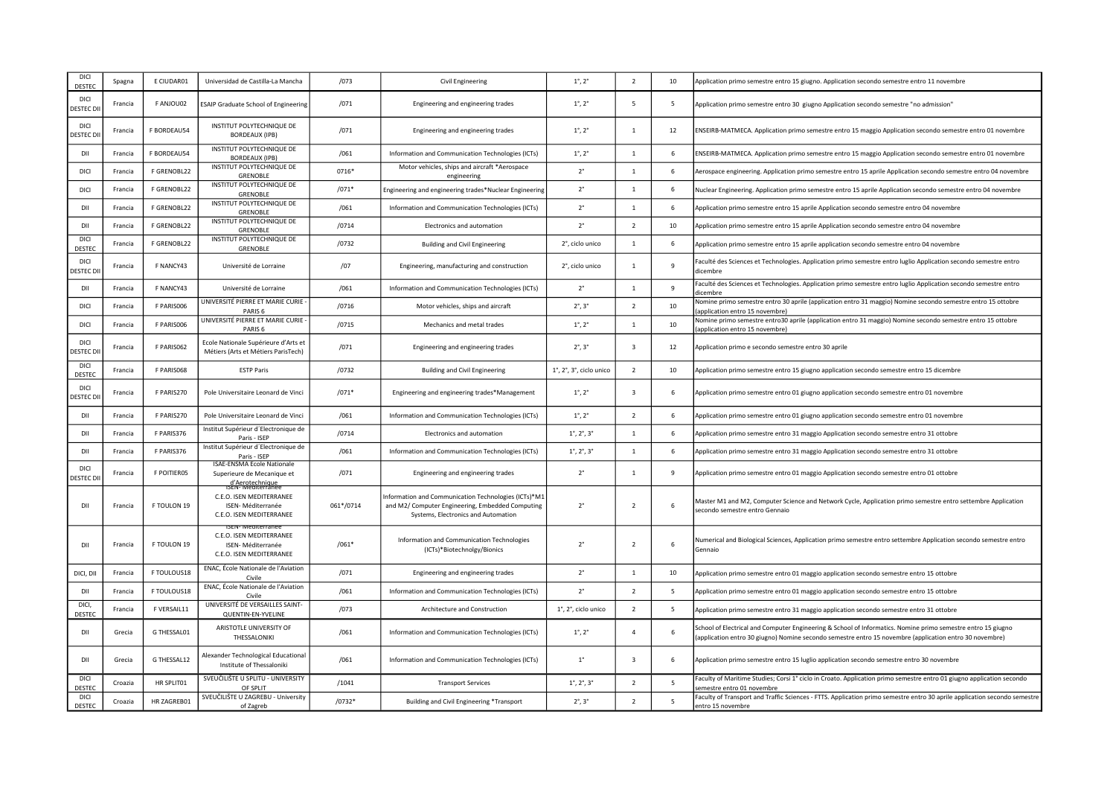| DICI<br><b>DESTEC</b>           | Spagna  | E CIUDAR01  | Universidad de Castilla-La Mancha                                                                      | /073      | Civil Engineering                                                                                                                               | $1^{\circ}$ , $2^{\circ}$                       | $\overline{2}$ | 10 | Application primo semestre entro 15 giugno. Application secondo semestre entro 11 novembre                                                                                                                             |
|---------------------------------|---------|-------------|--------------------------------------------------------------------------------------------------------|-----------|-------------------------------------------------------------------------------------------------------------------------------------------------|-------------------------------------------------|----------------|----|------------------------------------------------------------------------------------------------------------------------------------------------------------------------------------------------------------------------|
| DICI<br><b>DESTEC DI</b>        | Francia | F ANJOU02   | <b>ESAIP Graduate School of Engineering</b>                                                            | /071      | Engineering and engineering trades                                                                                                              | $1^{\circ}$ , $2^{\circ}$                       | 5              | 5  | "Application primo semestre entro 30 giugno Application secondo semestre "no admission                                                                                                                                 |
| <b>DICI</b><br><b>JESTEC DI</b> | Francia | F BORDEAU54 | INSTITUT POLYTECHNIQUE DE<br><b>BORDEAUX (IPB)</b>                                                     | /071      | Engineering and engineering trades                                                                                                              | $1^{\circ}$ , $2^{\circ}$                       | $\mathbf{1}$   | 12 | ENSEIRB-MATMECA. Application primo semestre entro 15 maggio Application secondo semestre entro 01 novembre                                                                                                             |
| DII                             | Francia | F BORDEAU54 | INSTITUT POLYTECHNIQUE DE<br><b>BORDEAUX (IPB)</b>                                                     | /061      | Information and Communication Technologies (ICTs)                                                                                               | $1^{\circ}$ , $2^{\circ}$                       | $\mathbf{1}$   | 6  | ENSEIRB-MATMECA. Application primo semestre entro 15 maggio Application secondo semestre entro 01 novembre                                                                                                             |
| DICI                            | Francia | F GRENOBL22 | INSTITUT POLYTECHNIQUE DE<br>GRENOBLE                                                                  | 0716*     | Motor vehicles, ships and aircraft *Aerospace<br>engineering                                                                                    | $2^{\circ}$                                     | $\mathbf{1}$   | 6  | Aerospace engineering. Application primo semestre entro 15 aprile Application secondo semestre entro 04 novembre                                                                                                       |
| DICI                            | Francia | F GRENOBL22 | INSTITUT POLYTECHNIQUE DE<br><b>GRENOBLE</b>                                                           | $/071*$   | Engineering and engineering trades*Nuclear Engineering                                                                                          | $2^{\circ}$                                     | $\mathbf{1}$   | 6  | Nuclear Engineering. Application primo semestre entro 15 aprile Application secondo semestre entro 04 novembre                                                                                                         |
| DII                             | Francia | F GRENOBL22 | INSTITUT POLYTECHNIQUE DE<br><b>GRENOBLE</b>                                                           | /061      | Information and Communication Technologies (ICTs)                                                                                               | $2^{\circ}$                                     | $\mathbf{1}$   | 6  | Application primo semestre entro 15 aprile Application secondo semestre entro 04 novembre                                                                                                                              |
| DII                             | Francia | F GRENOBL22 | INSTITUT POLYTECHNIQUE DE<br>GRENOBLE                                                                  | /0714     | Electronics and automation                                                                                                                      | $2^{\circ}$                                     | $\overline{2}$ | 10 | Application primo semestre entro 15 aprile Application secondo semestre entro 04 novembre                                                                                                                              |
| DICI<br>DESTEC                  | Francia | F GRENOBL22 | INSTITUT POLYTECHNIQUE DE<br><b>GRENOBLE</b>                                                           | /0732     | <b>Building and Civil Engineering</b>                                                                                                           | 2°, ciclo unico                                 | $\mathbf{1}$   | 6  | Application primo semestre entro 15 aprile application secondo semestre entro 04 novembre                                                                                                                              |
| DICI<br><b>DESTEC DI</b>        | Francia | F NANCY43   | Université de Lorraine                                                                                 | /07       | Engineering, manufacturing and construction                                                                                                     | 2°, ciclo unico                                 | $\overline{1}$ | 9  | Faculté des Sciences et Technologies. Application primo semestre entro luglio Application secondo semestre entro<br>dicembre                                                                                           |
| DII                             | Francia | F NANCY43   | Université de Lorraine                                                                                 | /061      | Information and Communication Technologies (ICTs)                                                                                               | $2^{\circ}$                                     | $\mathbf{1}$   | 9  | Faculté des Sciences et Technologies. Application primo semestre entro luglio Application secondo semestre entro<br>dicembre                                                                                           |
| DICI                            | Francia | F PARIS006  | UNIVERSITÉ PIERRE ET MARIE CURIE -<br>PARIS <sub>6</sub>                                               | /0716     | Motor vehicles, ships and aircraft                                                                                                              | $2^\circ$ , $3^\circ$                           | $\overline{2}$ | 10 | Nomine primo semestre entro 30 aprile (application entro 31 maggio) Nomine secondo semestre entro 15 ottobre<br>application entro 15 novembre)                                                                         |
| DICI                            | Francia | F PARISO06  | UNIVERSITÉ PIERRE ET MARIE CURIE -<br>PARIS <sub>6</sub>                                               | /0715     | Mechanics and metal trades                                                                                                                      | $1^{\circ}$ , $2^{\circ}$                       | $\overline{1}$ | 10 | Nomine primo semestre entro30 aprile (application entro 31 maggio) Nomine secondo semestre entro 15 ottobre<br>application entro 15 novembre)                                                                          |
| DICI<br><b>JESTEC DI</b>        | Francia | F PARISO62  | Ecole Nationale Supérieure d'Arts et<br>Métiers (Arts et Métiers ParisTech)                            | /071      | Engineering and engineering trades                                                                                                              | $2^\circ$ , $3^\circ$                           | $\overline{3}$ | 12 | Application primo e secondo semestre entro 30 aprile                                                                                                                                                                   |
| <b>DICI</b><br>DESTEC           | Francia | F PARIS068  | <b>ESTP Paris</b>                                                                                      | /0732     | <b>Building and Civil Engineering</b>                                                                                                           | $1^\circ$ , $2^\circ$ , $3^\circ$ , ciclo unico | $\overline{2}$ | 10 | Application primo semestre entro 15 giugno application secondo semestre entro 15 dicembre                                                                                                                              |
| DICI<br><b>JESTEC DI</b>        | Francia | F PARIS270  | Pole Universitaire Leonard de Vinci                                                                    | $/071*$   | Engineering and engineering trades*Management                                                                                                   | $1^{\circ}$ , $2^{\circ}$                       | $\overline{3}$ | 6  | Application primo semestre entro 01 giugno application secondo semestre entro 01 novembre                                                                                                                              |
| DII                             | Francia | F PARIS270  | Pole Universitaire Leonard de Vinci                                                                    | /061      | Information and Communication Technologies (ICTs)                                                                                               | $1^{\circ}$ , $2^{\circ}$                       | $\overline{2}$ | 6  | Application primo semestre entro 01 giugno application secondo semestre entro 01 novembre                                                                                                                              |
| DII                             | Francia | F PARIS376  | Institut Supérieur d'Electronique de<br>Paris - ISEP                                                   | /0714     | Electronics and automation                                                                                                                      | $1^{\circ}$ , $2^{\circ}$ , $3^{\circ}$         | $\mathbf{1}$   | 6  | Application primo semestre entro 31 maggio Application secondo semestre entro 31 ottobre                                                                                                                               |
| DII                             | Francia | F PARIS376  | Institut Supérieur d'Electronique de<br>Paris - ISEP                                                   | /061      | Information and Communication Technologies (ICTs)                                                                                               | $1^{\circ}$ , $2^{\circ}$ , $3^{\circ}$         | $\mathbf{1}$   | 6  | Application primo semestre entro 31 maggio Application secondo semestre entro 31 ottobre                                                                                                                               |
| DICI<br><b>DESTEC DI</b>        | Francia | F POITIER05 | <b>ISAE-ENSMA Ecole Nationale</b><br>Superieure de Mecanique et<br>d'Aerotechnique<br>ISEN-Mediterrane | /071      | Engineering and engineering trades                                                                                                              | $2^{\circ}$                                     | $\overline{1}$ | 9  | Application primo semestre entro 01 maggio Application secondo semestre entro 01 ottobre                                                                                                                               |
| DII                             | Francia | F TOULON 19 | C.E.O. ISEN MEDITERRANEE<br>ISEN-Méditerranée<br>C.E.O. ISEN MEDITERRANEE                              | 061*/0714 | Information and Communication Technologies (ICTs)*M1<br>and M2/ Computer Engineering, Embedded Computing<br>Systems, Electronics and Automation | $2^{\circ}$                                     | $\overline{2}$ | 6  | Master M1 and M2, Computer Science and Network Cycle, Application primo semestre entro settembre Application<br>secondo semestre entro Gennaio                                                                         |
| DII                             | Francia | F TOULON 19 | C.E.O. ISEN MEDITERRANEE<br>ISEN-Méditerranée<br>C.E.O. ISEN MEDITERRANEE                              | $/061*$   | Information and Communication Technologies<br>(ICTs)*Biotechnolgy/Bionics                                                                       | $2^{\circ}$                                     | $\overline{2}$ | 6  | Numerical and Biological Sciences, Application primo semestre entro settembre Application secondo semestre entro<br>Gennaio                                                                                            |
| DICI, DII                       | Francia | F TOULOUS18 | ENAC, École Nationale de l'Aviation<br>Civile                                                          | /071      | Engineering and engineering trades                                                                                                              | $2^{\circ}$                                     | $\mathbf{1}$   | 10 | Application primo semestre entro 01 maggio application secondo semestre entro 15 ottobre                                                                                                                               |
| DII                             | Francia | F TOULOUS18 | ENAC, École Nationale de l'Aviation<br>Civile                                                          | /061      | Information and Communication Technologies (ICTs)                                                                                               | $2^{\circ}$                                     | $\overline{2}$ | 5  | Application primo semestre entro 01 maggio application secondo semestre entro 15 ottobre                                                                                                                               |
| DICI<br>DESTEC                  | Francia | F VERSAIL11 | UNIVERSITÉ DE VERSAILLES SAINT-<br>QUENTIN-EN-YVELINE                                                  | /073      | Architecture and Construction                                                                                                                   | 1°, 2°, ciclo unico                             | 2              | -5 | Application primo semestre entro 31 maggio application secondo semestre entro 31 ottobre                                                                                                                               |
| DII                             | Grecia  | G THESSAL01 | ARISTOTLE UNIVERSITY OF<br>THESSALONIKI                                                                | /061      | Information and Communication Technologies (ICTs)                                                                                               | $1^{\circ}$ , $2^{\circ}$                       | $\overline{4}$ | 6  | School of Electrical and Computer Engineering & School of Informatics. Nomine primo semestre entro 15 giugno<br>application entro 30 giugno) Nomine secondo semestre entro 15 novembre (application entro 30 novembre) |
| DII                             | Grecia  | G THESSAL12 | Alexander Technological Educational<br>Institute of Thessaloniki                                       | /061      | Information and Communication Technologies (ICTs)                                                                                               | $1^{\circ}$                                     | $\overline{3}$ | 6  | Application primo semestre entro 15 luglio application secondo semestre entro 30 novembre                                                                                                                              |
| DICI<br>DESTEC                  | Croazia | HR SPLIT01  | SVEUČILIŠTE U SPLITU - UNIVERSITY<br>OF SPLIT                                                          | /1041     | <b>Transport Services</b>                                                                                                                       | $1^{\circ}$ , $2^{\circ}$ , $3^{\circ}$         | $\overline{2}$ | 5  | Faculty of Maritime Studies; Corsi 1° ciclo in Croato. Application primo semestre entro 01 giugno application secondo<br>semestre entro 01 novembre                                                                    |
| DICI<br>DESTEC                  | Croazia | HR ZAGREB01 | SVEUČILIŠTE U ZAGREBU - University<br>of Zagreb                                                        | $/0732*$  | Building and Civil Engineering *Transport                                                                                                       | $2^\circ$ , $3^\circ$                           | $\overline{2}$ | 5  | Faculty of Transport and Traffic Sciences - FTTS. Application primo semestre entro 30 aprile application secondo semestre<br>entro 15 novembre                                                                         |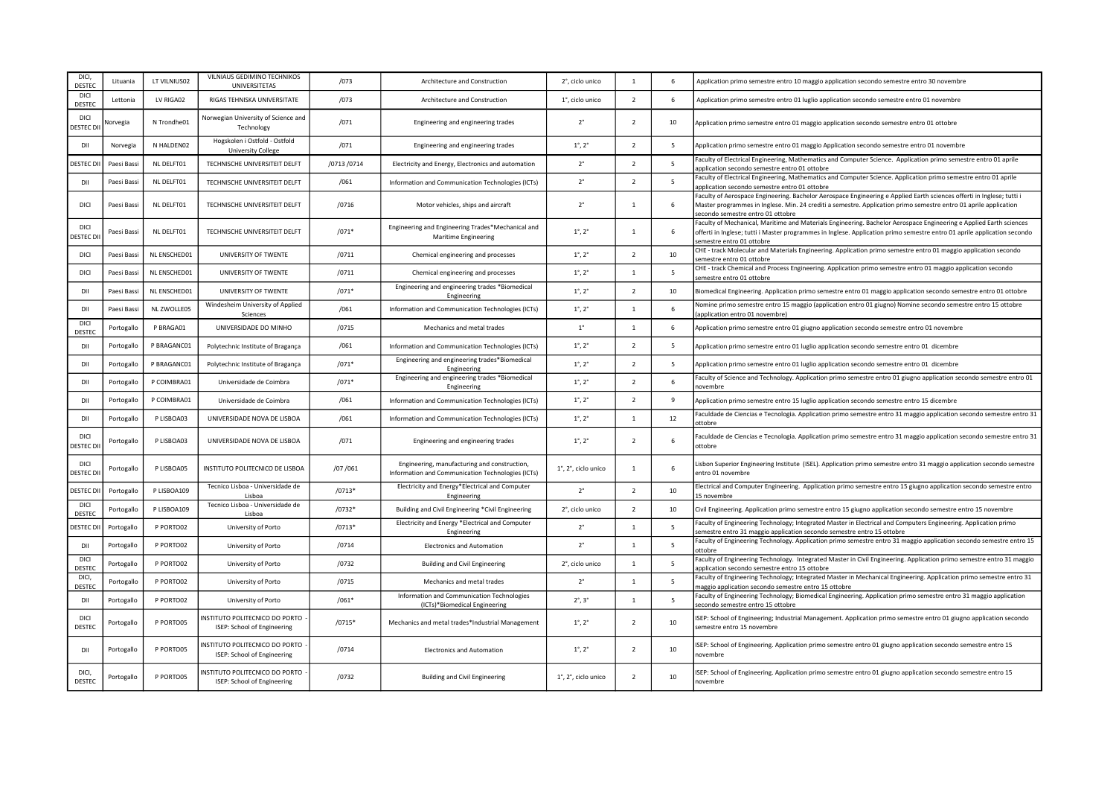| DICI.<br>DESTEC            | Lituania    | LT VILNIUS02 | VILNIAUS GEDIMINO TECHNIKOS<br><b>UNIVERSITETAS</b>                  | /073        | Architecture and Construction                                                                     | 2°, ciclo unico           | $\overline{1}$ | 6              | Application primo semestre entro 10 maggio application secondo semestre entro 30 novembre                                                                                                                                                                                      |
|----------------------------|-------------|--------------|----------------------------------------------------------------------|-------------|---------------------------------------------------------------------------------------------------|---------------------------|----------------|----------------|--------------------------------------------------------------------------------------------------------------------------------------------------------------------------------------------------------------------------------------------------------------------------------|
| DICI<br>DESTEC             | Lettonia    | LV RIGA02    | RIGAS TEHNISKA UNIVERSITATE                                          | /073        | Architecture and Construction                                                                     | 1°, ciclo unico           | $\overline{z}$ | 6              | Application primo semestre entro 01 luglio application secondo semestre entro 01 novembre                                                                                                                                                                                      |
| DICI<br>DESTEC D           | Vorvegia    | N Trondhe01  | Norwegian University of Science and<br>Technology                    | /071        | Engineering and engineering trades                                                                | $2^{\circ}$               | $\overline{z}$ | 10             | Application primo semestre entro 01 maggio application secondo semestre entro 01 ottobre                                                                                                                                                                                       |
| DII                        | Norvegia    | N HALDEN02   | Hogskolen i Ostfold - Ostfold<br><b>University College</b>           | /071        | Engineering and engineering trades                                                                | $1^{\circ}$ , $2^{\circ}$ | $\overline{2}$ | $\overline{5}$ | Application primo semestre entro 01 maggio Application secondo semestre entro 01 novembre                                                                                                                                                                                      |
| <b>DESTEC</b>              | Paesi Bassi | NL DELFT01   | TECHNISCHE UNIVERSITEIT DELFT                                        | /0713 /0714 | Electricity and Energy, Electronics and automation                                                | $2^{\circ}$               | $\overline{2}$ | 5              | Faculty of Electrical Engineering, Mathematics and Computer Science. Application primo semestre entro 01 aprile<br>application secondo semestre entro 01 ottobre                                                                                                               |
| DII                        | Paesi Bassi | NL DELFT01   | TECHNISCHE UNIVERSITEIT DELFT                                        | /061        | Information and Communication Technologies (ICTs)                                                 | $2^{\circ}$               | $\overline{2}$ | 5              | Faculty of Electrical Engineering, Mathematics and Computer Science. Application primo semestre entro 01 aprile<br>application secondo semestre entro 01 ottobre                                                                                                               |
| DICI                       | Paesi Bassi | NL DELFT01   | TECHNISCHE UNIVERSITEIT DELFT                                        | /0716       | Motor vehicles, ships and aircraft                                                                | $2^{\circ}$               | 1              | 6              | Faculty of Aerospace Engineering. Bachelor Aerospace Engineering e Applied Earth sciences offerti in Inglese; tutti i<br>Master programmes in Inglese. Min. 24 crediti a semestre. Application primo semestre entro 01 aprile application<br>secondo semestre entro 01 ottobre |
| DICI<br><b>DESTEC D</b>    | Paesi Bassi | NL DELFT01   | TECHNISCHE UNIVERSITEIT DELFT                                        | $/071*$     | Engineering and Engineering Trades*Mechanical and<br>Maritime Engineering                         | $1^{\circ}$ , $2^{\circ}$ | $\overline{1}$ | 6              | Faculty of Mechanical, Maritime and Materials Engineering. Bachelor Aerospace Engineering e Applied Earth sciences<br>offerti in Inglese; tutti i Master programmes in Inglese. Application primo semestre entro 01 aprile application secondo<br>semestre entro 01 ottobre    |
| DICI                       | Paesi Bassi | NL ENSCHED01 | UNIVERSITY OF TWENTE                                                 | /0711       | Chemical engineering and processes                                                                | $1^{\circ}$ , $2^{\circ}$ | $\overline{2}$ | 10             | CHE - track Molecular and Materials Engineering. Application primo semestre entro 01 maggio application secondo<br>emestre entro 01 ottobre                                                                                                                                    |
| DICI                       | Paesi Bassi | NL ENSCHED01 | UNIVERSITY OF TWENTE                                                 | /0711       | Chemical engineering and processes                                                                | $1^{\circ}$ , $2^{\circ}$ | $\overline{1}$ | 5              | CHE - track Chemical and Process Engineering. Application primo semestre entro 01 maggio application secondo<br>semestre entro 01 ottobre                                                                                                                                      |
| DII                        | Paesi Bassi | NL ENSCHED01 | UNIVERSITY OF TWENTE                                                 | $/071*$     | Engineering and engineering trades *Biomedical<br>Engineering                                     | $1^{\circ}$ , $2^{\circ}$ | $\overline{2}$ | 10             | Biomedical Engineering. Application primo semestre entro 01 maggio application secondo semestre entro 01 ottobre                                                                                                                                                               |
| DII                        | Paesi Bassi | NL ZWOLLE05  | Windesheim University of Applied<br>Sciences                         | /061        | Information and Communication Technologies (ICTs)                                                 | $1^{\circ}$ , $2^{\circ}$ | $\overline{1}$ | 6              | Nomine primo semestre entro 15 maggio (application entro 01 giugno) Nomine secondo semestre entro 15 ottobre<br>(application entro 01 novembre)                                                                                                                                |
| DICI<br>DESTEC             | Portogallo  | P BRAGA01    | UNIVERSIDADE DO MINHO                                                | /0715       | Mechanics and metal trades                                                                        | $1^{\circ}$               | $\mathbf{1}$   | 6              | Application primo semestre entro 01 giugno application secondo semestre entro 01 novembre                                                                                                                                                                                      |
| DII                        | Portogallo  | P BRAGANC01  | Polytechnic Institute of Bragança                                    | /061        | Information and Communication Technologies (ICTs)                                                 | $1^{\circ}$ , $2^{\circ}$ | $\overline{2}$ | 5              | Application primo semestre entro 01 luglio application secondo semestre entro 01 dicembre                                                                                                                                                                                      |
| DII                        | Portogallo  | P BRAGANC01  | Polytechnic Institute of Bragança                                    | $/071*$     | Engineering and engineering trades*Biomedical<br>Engineering                                      | $1^{\circ}$ , $2^{\circ}$ | $\overline{2}$ | 5              | Application primo semestre entro 01 luglio application secondo semestre entro 01 dicembre                                                                                                                                                                                      |
| DII                        | Portogallo  | P COIMBRA01  | Universidade de Coimbra                                              | $/071*$     | Engineering and engineering trades *Biomedical<br>Engineering                                     | $1^{\circ}$ , $2^{\circ}$ | $\overline{2}$ | 6              | Faculty of Science and Technology. Application primo semestre entro 01 giugno application secondo semestre entro 01<br>novembre                                                                                                                                                |
| DII                        | Portogallo  | P COIMBRA01  | Universidade de Coimbra                                              | /061        | Information and Communication Technologies (ICTs)                                                 | $1^{\circ}$ , $2^{\circ}$ | $\overline{2}$ | $\mathbf{q}$   | Application primo semestre entro 15 luglio application secondo semestre entro 15 dicembre                                                                                                                                                                                      |
| DII                        | Portogallo  | P LISBOA03   | UNIVERSIDADE NOVA DE LISBOA                                          | /061        | Information and Communication Technologies (ICTs)                                                 | $1^{\circ}$ , $2^{\circ}$ | $\overline{1}$ | 12             | Faculdade de Ciencias e Tecnologia. Application primo semestre entro 31 maggio application secondo semestre entro 31<br>ottobre                                                                                                                                                |
| DICI<br><b>DESTEC DI</b>   | Portogallo  | P LISBOA03   | UNIVERSIDADE NOVA DE LISBOA                                          | /071        | Engineering and engineering trades                                                                | $1^{\circ}$ , $2^{\circ}$ | $\overline{2}$ | 6              | Faculdade de Ciencias e Tecnologia. Application primo semestre entro 31 maggio application secondo semestre entro 31<br>ottobre                                                                                                                                                |
| DICI<br>ESTEC <sub>D</sub> | Portogallo  | P LISBOA05   | INSTITUTO POLITECNICO DE LISBOA                                      | /07/061     | Engineering, manufacturing and construction,<br>Information and Communication Technologies (ICTs) | 1°, 2°, ciclo unico       | $\overline{1}$ | 6              | isbon Superior Engineering Institute (ISEL). Application primo semestre entro 31 maggio application secondo semestre<br>entro 01 novembre                                                                                                                                      |
| <b>DESTEC D</b>            | Portogallo  | P LISBOA109  | Tecnico Lisboa - Universidade de<br>Lisboa                           | $/0713*$    | Electricity and Energy*Electrical and Computer<br>Engineering                                     | $2^{\circ}$               | $\overline{z}$ | 10             | Electrical and Computer Engineering. Application primo semestre entro 15 giugno application secondo semestre entro<br>15 novembre                                                                                                                                              |
| <b>DICI</b><br>DESTEC      | Portogallo  | P LISBOA109  | Tecnico Lisboa - Universidade de<br>Lisboa                           | $/0732*$    | Building and Civil Engineering *Civil Engineering                                                 | 2°, ciclo unico           | $\overline{2}$ | 10             | Civil Engineering. Application primo semestre entro 15 giugno application secondo semestre entro 15 novembre                                                                                                                                                                   |
| <b>DESTEC D</b>            | Portogallo  | P PORTO02    | University of Porto                                                  | $/0713*$    | Electricity and Energy *Electrical and Computer<br>Engineering                                    | $2^{\circ}$               | $\overline{1}$ | -5             | Faculty of Engineering Technology; Integrated Master in Electrical and Computers Engineering. Application primo<br>semestre entro 31 maggio application secondo semestre entro 15 ottobre                                                                                      |
| DII                        | Portogallo  | P PORTO02    | University of Porto                                                  | /0714       | <b>Electronics and Automation</b>                                                                 | $2^{\circ}$               | $\overline{1}$ | 5              | Faculty of Engineering Technology. Application primo semestre entro 31 maggio application secondo semestre entro 15<br>ottobre                                                                                                                                                 |
| DICI<br><b>DESTE</b>       | Portogallo  | P PORTO02    | University of Porto                                                  | /0732       | <b>Building and Civil Engineering</b>                                                             | 2°, ciclo unico           | $\overline{1}$ | 5              | Faculty of Engineering Technology. Integrated Master in Civil Engineering. Application primo semestre entro 31 maggio<br>pplication secondo semestre entro 15 ottobre                                                                                                          |
| DICI,<br>DESTEC            | Portogallo  | P PORTO02    | University of Porto                                                  | /0715       | Mechanics and metal trades                                                                        | $2^{\circ}$               | $\mathbf{1}$   | 5              | Faculty of Engineering Technology; Integrated Master in Mechanical Engineering. Application primo semestre entro 31<br>naggio application secondo semestre entro 15 ottobre                                                                                                    |
| DII                        | Portogallo  | P PORTO02    | University of Porto                                                  | $/061*$     | Information and Communication Technologies<br>(ICTs)*Biomedical Engineering                       | $2^{\circ}$ , $3^{\circ}$ | $\mathbf{1}$   | 5              | Faculty of Engineering Technology; Biomedical Engineering. Application primo semestre entro 31 maggio application<br>secondo semestre entro 15 ottobre                                                                                                                         |
| DICI<br><b>DESTEC</b>      | Portogallo  | P PORTO05    | INSTITUTO POLITECNICO DO PORTO<br>ISEP: School of Engineering        | $/0715*$    | Mechanics and metal trades*Industrial Management                                                  | $1^{\circ}$ , $2^{\circ}$ | $\overline{2}$ | 10             | ISEP: School of Engineering; Industrial Management. Application primo semestre entro 01 giugno application secondo<br>semestre entro 15 novembre                                                                                                                               |
| DII                        | Portogallo  | P PORTO05    | INSTITUTO POLITECNICO DO PORTO<br>ISEP: School of Engineering        | /0714       | <b>Electronics and Automation</b>                                                                 | $1^{\circ}$ , $2^{\circ}$ | $\overline{2}$ | 10             | ISEP: School of Engineering. Application primo semestre entro 01 giugno application secondo semestre entro 15<br>novembre                                                                                                                                                      |
| DICI,<br>DESTEC            | Portogallo  | P PORTO05    | INSTITUTO POLITECNICO DO PORTO<br><b>ISEP: School of Engineering</b> | /0732       | <b>Building and Civil Engineering</b>                                                             | 1°, 2°, ciclo unico       | $\overline{z}$ | 10             | ISEP: School of Engineering. Application primo semestre entro 01 giugno application secondo semestre entro 15<br>novembre                                                                                                                                                      |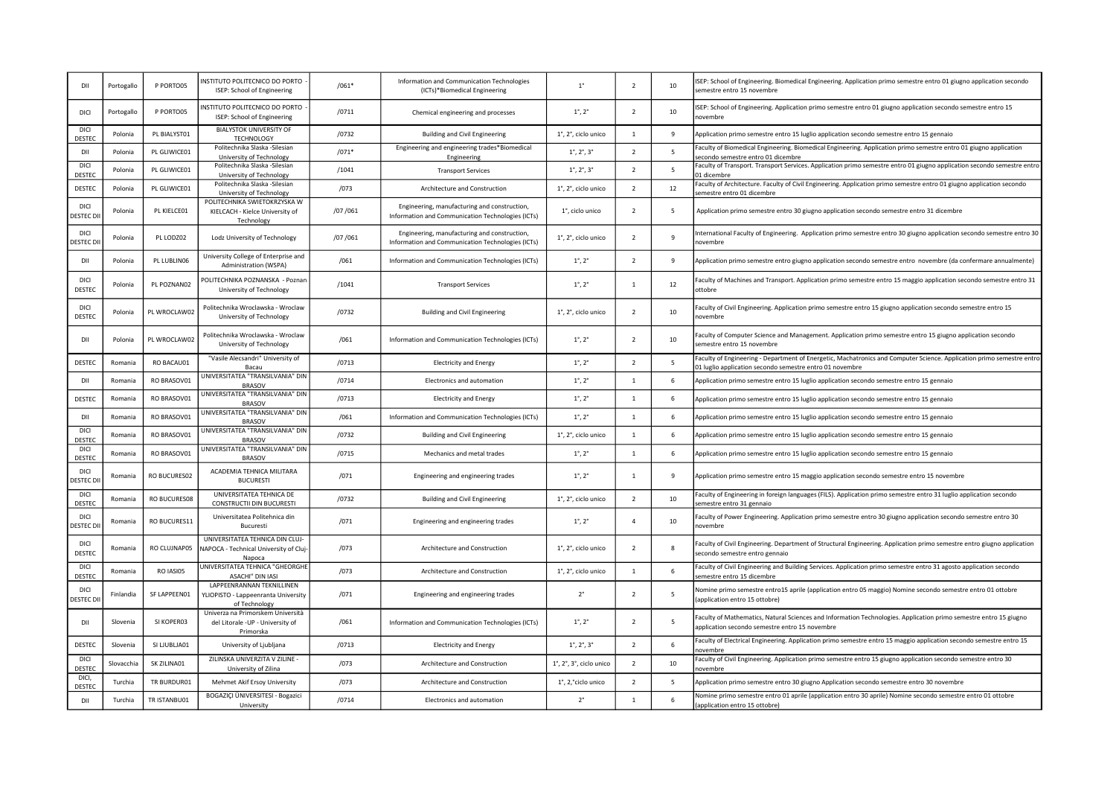| DII                             | Portogallo | P PORTO05    | INSTITUTO POLITECNICO DO PORTO -<br>ISEP: School of Engineering                     | $/061*$ | Information and Communication Technologies<br>(ICTs)*Biomedical Engineering                       | $1^{\circ}$                                     | $\overline{2}$           | 10              | ISEP: School of Engineering. Biomedical Engineering. Application primo semestre entro 01 giugno application secondo<br>semestre entro 15 novembre                                 |
|---------------------------------|------------|--------------|-------------------------------------------------------------------------------------|---------|---------------------------------------------------------------------------------------------------|-------------------------------------------------|--------------------------|-----------------|-----------------------------------------------------------------------------------------------------------------------------------------------------------------------------------|
| DICI                            | Portogallo | P PORTO05    | INSTITUTO POLITECNICO DO PORTO<br>ISEP: School of Engineering                       | /0711   | Chemical engineering and processes                                                                | $1^{\circ}$ , $2^{\circ}$                       | $\overline{z}$           | 10              | ISEP: School of Engineering. Application primo semestre entro 01 giugno application secondo semestre entro 15<br>novembre                                                         |
| <b>DICI</b><br>DESTEC           | Polonia    | PL BIALYST01 | <b>BIALYSTOK UNIVERSITY OF</b><br><b>TECHNOLOGY</b>                                 | /0732   | <b>Building and Civil Engineering</b>                                                             | 1°, 2°, ciclo unico                             | $\mathbf{1}$             | 9               | Application primo semestre entro 15 luglio application secondo semestre entro 15 gennaio                                                                                          |
| DII                             | Polonia    | PL GLIWICE01 | Politechnika Slaska - Silesian<br>University of Technology                          | $/071*$ | Engineering and engineering trades*Biomedical<br>Engineering                                      | $1^{\circ}$ , $2^{\circ}$ , $3^{\circ}$         | $\overline{2}$           | 5               | Faculty of Biomedical Engineering. Biomedical Engineering. Application primo semestre entro 01 giugno application<br>econdo semestre entro 01 dicembre                            |
| <b>DICI</b><br><b>DESTEC</b>    | Polonia    | PL GLIWICE01 | Politechnika Slaska - Silesian<br>University of Technology                          | /1041   | <b>Transport Services</b>                                                                         | $1^{\circ}$ , $2^{\circ}$ , $3^{\circ}$         | $\overline{2}$           | $5\phantom{.0}$ | Faculty of Transport. Transport Services. Application primo semestre entro 01 giugno application secondo semestre entro<br>11 dicembre                                            |
| DESTEC                          | Polonia    | PL GLIWICE01 | Politechnika Slaska - Silesian<br>University of Technology                          | /073    | Architecture and Construction                                                                     | 1°, 2°, ciclo unico                             | $\overline{2}$           | 12              | Faculty of Architecture. Faculty of Civil Engineering. Application primo semestre entro 01 giugno application secondo<br>semestre entro 01 dicembre                               |
| DICI<br><b>DESTEC D</b>         | Polonia    | PL KIELCE01  | POLITECHNIKA SWIETOKRZYSKA W<br>KIELCACH - Kielce University of<br>Technology       | /07/061 | Engineering, manufacturing and construction,<br>Information and Communication Technologies (ICTs) | 1°, ciclo unico                                 | $\overline{2}$           | - 5             | Application primo semestre entro 30 giugno application secondo semestre entro 31 dicembre                                                                                         |
| <b>DICI</b><br><b>DESTEC D</b>  | Polonia    | PL LODZ02    | Lodz University of Technology                                                       | /07/061 | Engineering, manufacturing and construction,<br>Information and Communication Technologies (ICTs) | 1°, 2°, ciclo unico                             | $\overline{\phantom{a}}$ | $\overline{9}$  | nternational Faculty of Engineering. Application primo semestre entro 30 giugno application secondo semestre entro 30<br>novembre                                                 |
| DII                             | Polonia    | PL LUBLIN06  | University College of Enterprise and<br>Administration (WSPA)                       | /061    | Information and Communication Technologies (ICTs)                                                 | $1^\circ$ , $2^\circ$                           | $\overline{z}$           | $\mathbf{q}$    | Application primo semestre entro giugno application secondo semestre entro novembre (da confermare annualmente)                                                                   |
| DICI<br>DESTEC                  | Polonia    | PL POZNANO2  | POLITECHNIKA POZNANSKA - Poznan<br>University of Technology                         | /1041   | <b>Transport Services</b>                                                                         | $1^{\circ}$ , $2^{\circ}$                       | -1                       | 12              | Faculty of Machines and Transport. Application primo semestre entro 15 maggio application secondo semestre entro 31<br>ottobre                                                    |
| DICI<br>DESTEC                  | Polonia    | PL WROCLAW02 | Politechnika Wroclawska - Wroclaw<br>University of Technology                       | /0732   | <b>Building and Civil Engineering</b>                                                             | 1°, 2°, ciclo unico                             | $\overline{z}$           | 10              | Faculty of Civil Engineering. Application primo semestre entro 15 giugno application secondo semestre entro 15<br>novembre                                                        |
| DII                             | Polonia    | PL WROCLAW02 | Politechnika Wroclawska - Wroclaw<br>University of Technology                       | /061    | Information and Communication Technologies (ICTs)                                                 | $1^{\circ}$ , $2^{\circ}$                       | $\overline{z}$           | 10              | Faculty of Computer Science and Management. Application primo semestre entro 15 giugno application secondo<br>semestre entro 15 novembre                                          |
| DESTEC                          | Romania    | RO BACAU01   | "Vasile Alecsandri" University of<br>Bacau                                          | /0713   | <b>Electricity and Energy</b>                                                                     | $1^{\circ}$ , $2^{\circ}$                       | $\overline{2}$           | $5\overline{5}$ | Faculty of Engineering - Department of Energetic, Machatronics and Computer Science. Application primo semestre entro<br>01 luglio application secondo semestre entro 01 novembre |
| DII                             | Romania    | RO BRASOV01  | UNIVERSITATEA "TRANSILVANIA" DIN<br><b>BRASOV</b>                                   | /0714   | Electronics and automation                                                                        | $1^{\circ}$ , $2^{\circ}$                       | $\mathbf{1}$             | 6               | Application primo semestre entro 15 luglio application secondo semestre entro 15 gennaio                                                                                          |
| DESTEC                          | Romania    | RO BRASOV01  | UNIVERSITATEA "TRANSILVANIA" DIN<br><b>BRASOV</b>                                   | /0713   | <b>Electricity and Energy</b>                                                                     | $1^{\circ}$ , $2^{\circ}$                       | $\mathbf{1}$             | 6               | Application primo semestre entro 15 luglio application secondo semestre entro 15 gennaio                                                                                          |
| DII                             | Romania    | RO BRASOV01  | UNIVERSITATEA "TRANSILVANIA" DIN<br><b>BRASOV</b>                                   | /061    | Information and Communication Technologies (ICTs)                                                 | $1^{\circ}$ , $2^{\circ}$                       | $\mathbf{1}$             | 6               | Application primo semestre entro 15 luglio application secondo semestre entro 15 gennaio                                                                                          |
| <b>DICI</b><br><b>DESTEC</b>    | Romania    | RO BRASOV01  | UNIVERSITATEA "TRANSILVANIA" DIN<br><b>BRASOV</b>                                   | /0732   | <b>Building and Civil Engineering</b>                                                             | 1°, 2°, ciclo unico                             | $\mathbf{1}$             | 6               | Application primo semestre entro 15 luglio application secondo semestre entro 15 gennaio                                                                                          |
| DICI<br>DESTEC                  | Romania    | RO BRASOV01  | UNIVERSITATEA "TRANSILVANIA" DIN<br><b>BRASOV</b>                                   | /0715   | Mechanics and metal trades                                                                        | $1^{\circ}$ , $2^{\circ}$                       | $\mathbf{1}$             | 6               | Application primo semestre entro 15 luglio application secondo semestre entro 15 gennaio                                                                                          |
| <b>DICI</b><br>ESTEC D          | Romania    | RO BUCURES02 | ACADEMIA TEHNICA MILITARA<br><b>BUCURESTI</b>                                       | /071    | Engineering and engineering trades                                                                | $1^{\circ}$ , $2^{\circ}$                       | $\mathbf{1}$             | 9               | Application primo semestre entro 15 maggio application secondo semestre entro 15 novembre                                                                                         |
| DICI<br>DESTEC                  | Romania    | RO BUCURES08 | UNIVERSITATEA TEHNICA DE<br>CONSTRUCTII DIN BUCURESTI                               | /0732   | Building and Civil Engineering                                                                    | 1°, 2°, ciclo unico                             | $\overline{2}$           | 10              | Faculty of Engineering in foreign languages (FILS). Application primo semestre entro 31 luglio application secondo<br>semestre entro 31 gennaio                                   |
| DICI<br><b>JESTEC DI</b>        | Romania    | RO BUCURES11 | Universitatea Politehnica din<br><b>Bucuresti</b>                                   | /071    | Engineering and engineering trades                                                                | $1^{\circ}$ , $2^{\circ}$                       | $\overline{4}$           | 10              | Faculty of Power Engineering. Application primo semestre entro 30 giugno application secondo semestre entro 30<br>novembre                                                        |
| DICI<br><b>DESTEC</b>           | Romania    | RO CLUJNAP05 | UNIVERSITATEA TEHNICA DIN CLUJ-<br>NAPOCA - Technical University of Cluj-<br>Napoca | /073    | Architecture and Construction                                                                     | 1°, 2°, ciclo unico                             | $\overline{z}$           | 8               | Faculty of Civil Engineering. Department of Structural Engineering. Application primo semestre entro giugno application<br>secondo semestre entro gennaio                         |
| <b>DICI</b><br><b>DESTEC</b>    | Romania    | RO IASI05    | UNIVERSITATEA TEHNICA "GHEORGHE<br>ASACHI" DIN IASI                                 | /073    | Architecture and Construction                                                                     | 1°, 2°, ciclo unico                             | $\overline{1}$           | 6               | Faculty of Civil Engineering and Building Services. Application primo semestre entro 31 agosto application secondo<br>emestre entro 15 dicembre                                   |
| <b>DICI</b><br><b>JESTEC DI</b> | Finlandia  | SF LAPPEEN01 | LAPPEENRANNAN TEKNILLINEN<br>YLIOPISTO - Lappeenranta University<br>of Technology   | /071    | Engineering and engineering trades                                                                | $2^{\circ}$                                     | $\overline{z}$           | 5               | Nomine primo semestre entro15 aprile (application entro 05 maggio) Nomine secondo semestre entro 01 ottobre<br>(application entro 15 ottobre)                                     |
| DII                             | Slovenia   | SI KOPER03   | Univerza na Primorskem Università<br>del Litorale -UP - University of<br>Primorska  | /061    | Information and Communication Technologies (ICTs)                                                 | $1^{\circ}$ , $2^{\circ}$                       | $\overline{\phantom{a}}$ | 5               | Faculty of Mathematics, Natural Sciences and Information Technologies. Application primo semestre entro 15 giugno<br>application secondo semestre entro 15 novembre               |
| DESTEC                          | Slovenia   | SI LJUBLJA01 | University of Ljubljana                                                             | /0713   | <b>Electricity and Energy</b>                                                                     | $1^{\circ}$ , $2^{\circ}$ , $3^{\circ}$         | $\overline{2}$           | 6               | Faculty of Electrical Engineering. Application primo semestre entro 15 maggio application secondo semestre entro 15<br><b>novembre</b>                                            |
| <b>DICI</b><br>DESTEC           | Slovacchia | SK ZILINA01  | ZILINSKA UNIVERZITA V ZILINE -<br>University of Zilina                              | /073    | Architecture and Construction                                                                     | $1^\circ$ , $2^\circ$ , $3^\circ$ , ciclo unico | $\overline{2}$           | 10              | Faculty of Civil Engineering. Application primo semestre entro 15 giugno application secondo semestre entro 30<br>novembre                                                        |
| DICL.<br>DESTEC                 | Turchia    | TR BURDUR01  | Mehmet Akif Ersoy University                                                        | /073    | Architecture and Construction                                                                     | 1°, 2,°ciclo unico                              | $\overline{2}$           | $\overline{5}$  | Application primo semestre entro 30 giugno Application secondo semestre entro 30 novembre                                                                                         |
| DII                             | Turchia    | TR ISTANBU01 | BOGAZIÇI ÜNIVERSITESI - Bogazici<br>University                                      | /0714   | Electronics and automation                                                                        | $2^{\circ}$                                     | $\mathbf{1}$             | 6               | Nomine primo semestre entro 01 aprile (application entro 30 aprile) Nomine secondo semestre entro 01 ottobre<br>application entro 15 ottobre)                                     |